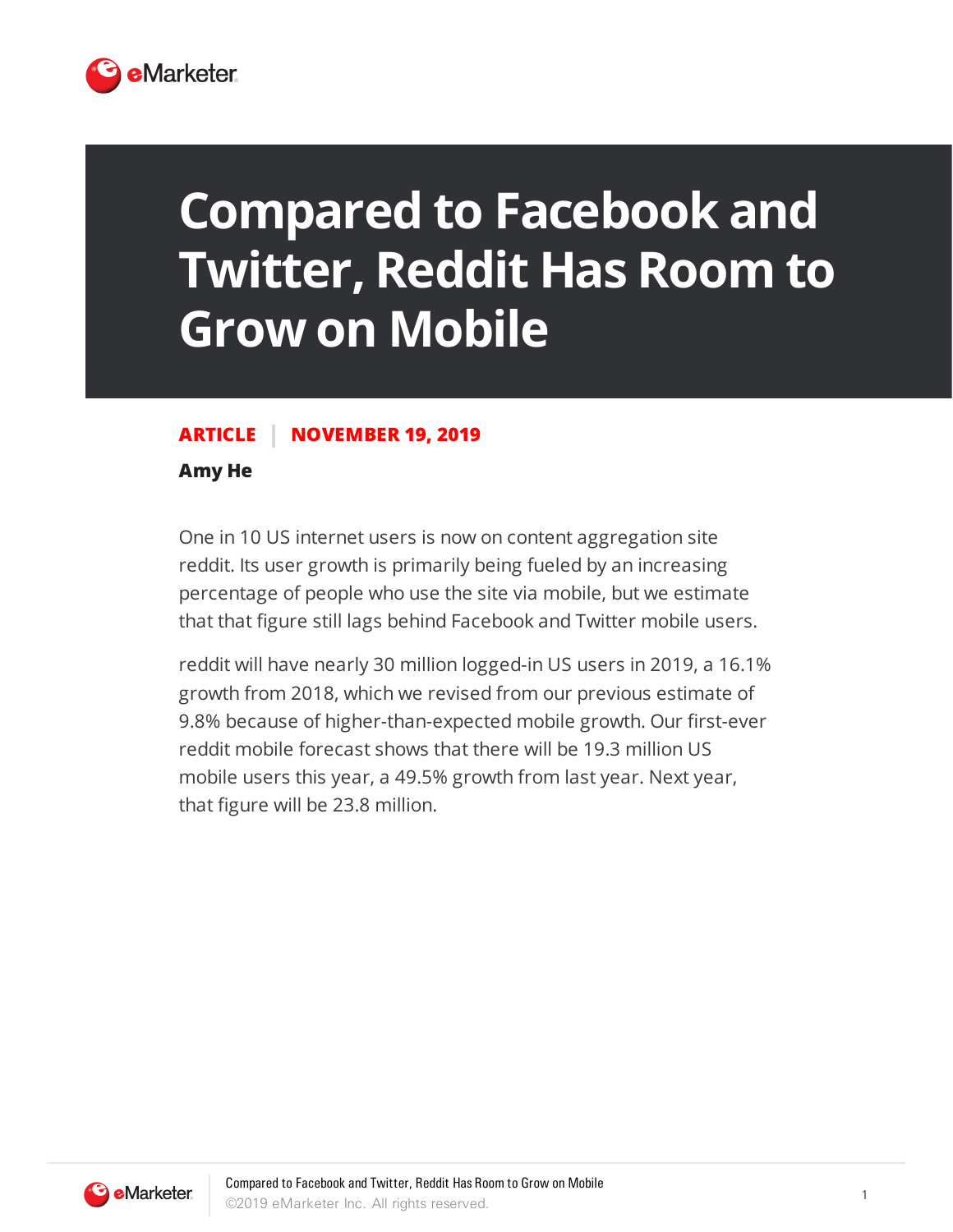

## **Compared to Facebook and Twitter, Reddit Has Room to Grow on Mobile**

## **ARTICLE NOVEMBER 19, 2019**

## **Amy He**

One in 10 US internet users is now on content aggregation site reddit. Its user growth is primarily being fueled by an increasing percentage of people who use the site via mobile, but we estimate that that figure still lags behind Facebook and Twitter mobile users.

reddit will have nearly 30 million logged-in US users in 2019, a 16.1% growth from 2018, which we revised from our previous estimate of 9.8% because of higher-than-expected mobile growth. Our first-ever reddit mobile forecast shows that there will be 19.3 million US mobile users this year, a 49.5% growth from last year. Next year, that figure will be 23.8 million.

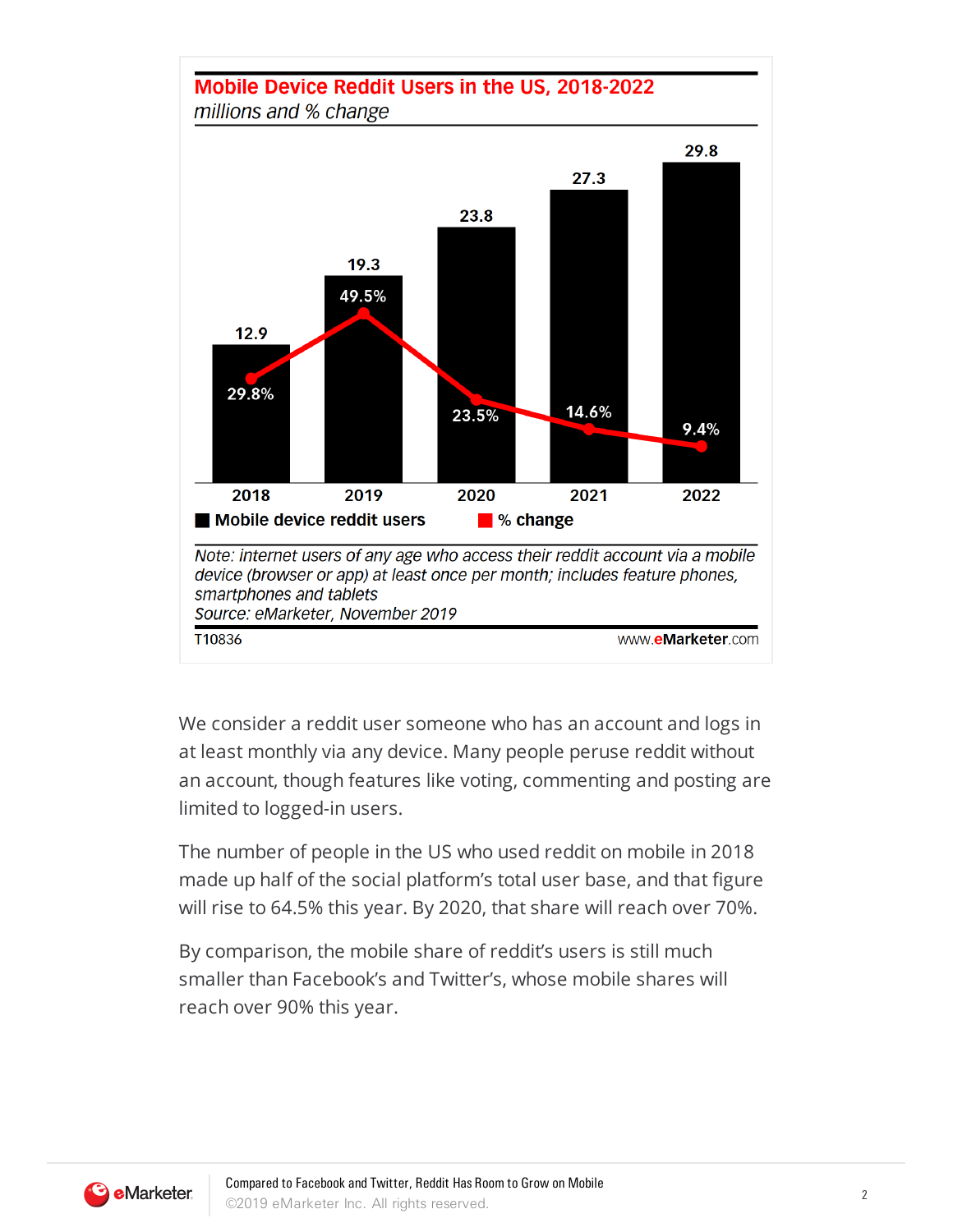

We consider a reddit user someone who has an account and logs in at least monthly via any device. Many people peruse reddit without an account, though features like voting, commenting and posting are limited to logged-in users.

The number of people in the US who used reddit on mobile in 2018 made up half of the social platform's total user base, and that figure will rise to 64.5% this year. By 2020, that share will reach over 70%.

By comparison, the mobile share of reddit's users is still much smaller than Facebook's and Twitter's, whose mobile shares will reach over 90% this year.

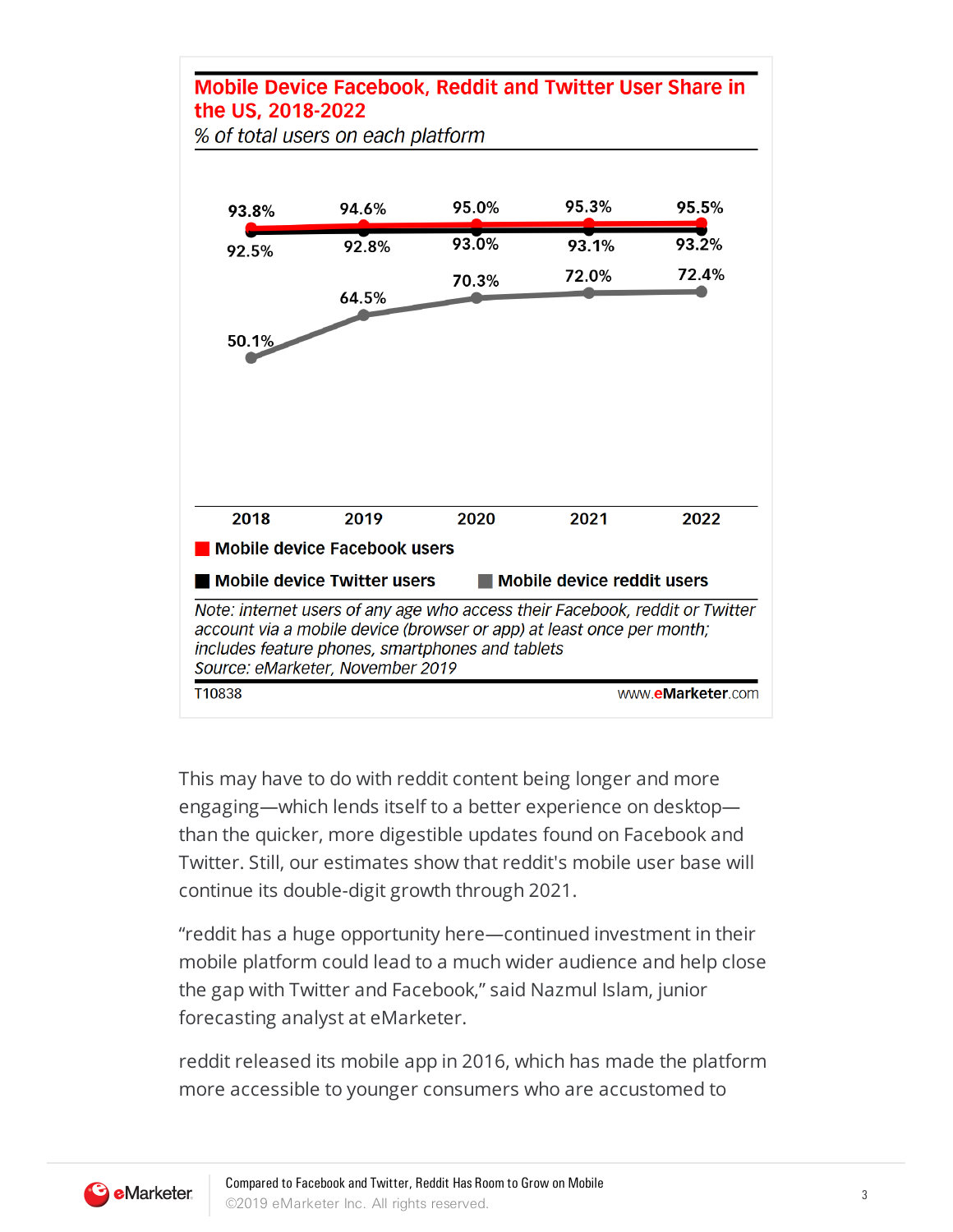## **Mobile Device Facebook, Reddit and Twitter User Share in** the US. 2018-2022

% of total users on each platform



This may have to do with reddit content being longer and more engaging—which lends itself to a better experience on desktop than the quicker, more digestible updates found on Facebook and Twitter. Still, our estimates show that reddit's mobile user base will continue its double-digit growth through 2021.

"reddit has a huge opportunity here—continued investment in their mobile platform could lead to a much wider audience and help close the gap with Twitter and Facebook," said Nazmul Islam, junior forecasting analyst at eMarketer.

reddit released its mobile app in 2016, which has made the platform more accessible to younger consumers who are accustomed to